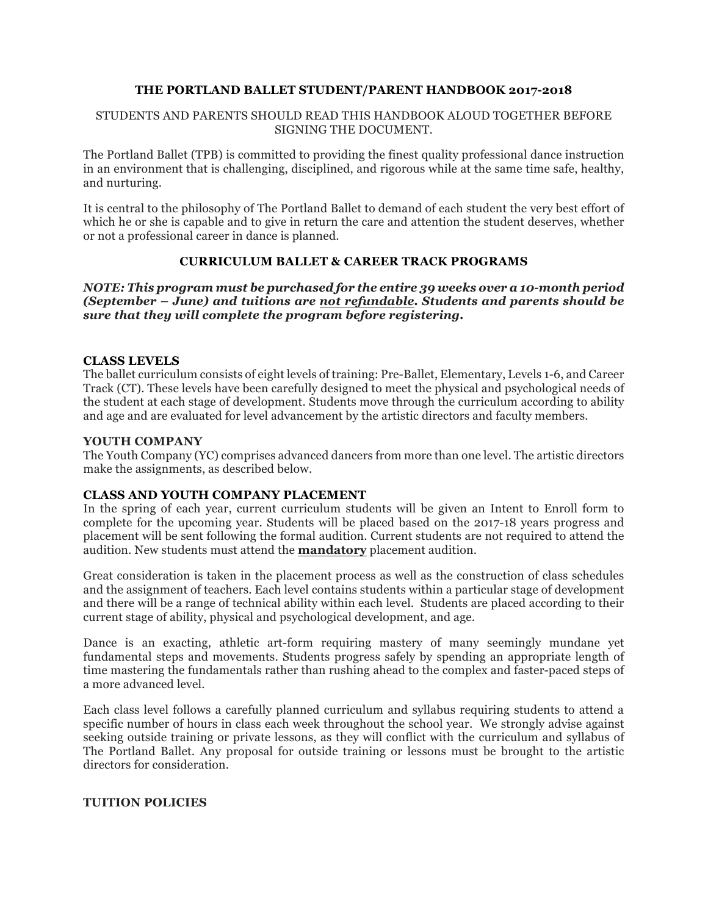# **THE PORTLAND BALLET STUDENT/PARENT HANDBOOK 2017-2018**

#### STUDENTS AND PARENTS SHOULD READ THIS HANDBOOK ALOUD TOGETHER BEFORE SIGNING THE DOCUMENT.

The Portland Ballet (TPB) is committed to providing the finest quality professional dance instruction in an environment that is challenging, disciplined, and rigorous while at the same time safe, healthy, and nurturing.

It is central to the philosophy of The Portland Ballet to demand of each student the very best effort of which he or she is capable and to give in return the care and attention the student deserves, whether or not a professional career in dance is planned.

#### **CURRICULUM BALLET & CAREER TRACK PROGRAMS**

#### *NOTE: This program must be purchased for the entire 39 weeks over a 10-month period (September – June) and tuitions are not refundable. Students and parents should be sure that they will complete the program before registering.*

#### **CLASS LEVELS**

The ballet curriculum consists of eight levels of training: Pre-Ballet, Elementary, Levels 1-6, and Career Track (CT). These levels have been carefully designed to meet the physical and psychological needs of the student at each stage of development. Students move through the curriculum according to ability and age and are evaluated for level advancement by the artistic directors and faculty members.

#### **YOUTH COMPANY**

The Youth Company (YC) comprises advanced dancers from more than one level. The artistic directors make the assignments, as described below.

#### **CLASS AND YOUTH COMPANY PLACEMENT**

In the spring of each year, current curriculum students will be given an Intent to Enroll form to complete for the upcoming year. Students will be placed based on the 2017-18 years progress and placement will be sent following the formal audition. Current students are not required to attend the audition. New students must attend the **mandatory** placement audition.

Great consideration is taken in the placement process as well as the construction of class schedules and the assignment of teachers. Each level contains students within a particular stage of development and there will be a range of technical ability within each level. Students are placed according to their current stage of ability, physical and psychological development, and age.

Dance is an exacting, athletic art-form requiring mastery of many seemingly mundane yet fundamental steps and movements. Students progress safely by spending an appropriate length of time mastering the fundamentals rather than rushing ahead to the complex and faster-paced steps of a more advanced level.

Each class level follows a carefully planned curriculum and syllabus requiring students to attend a specific number of hours in class each week throughout the school year. We strongly advise against seeking outside training or private lessons, as they will conflict with the curriculum and syllabus of The Portland Ballet. Any proposal for outside training or lessons must be brought to the artistic directors for consideration.

#### **TUITION POLICIES**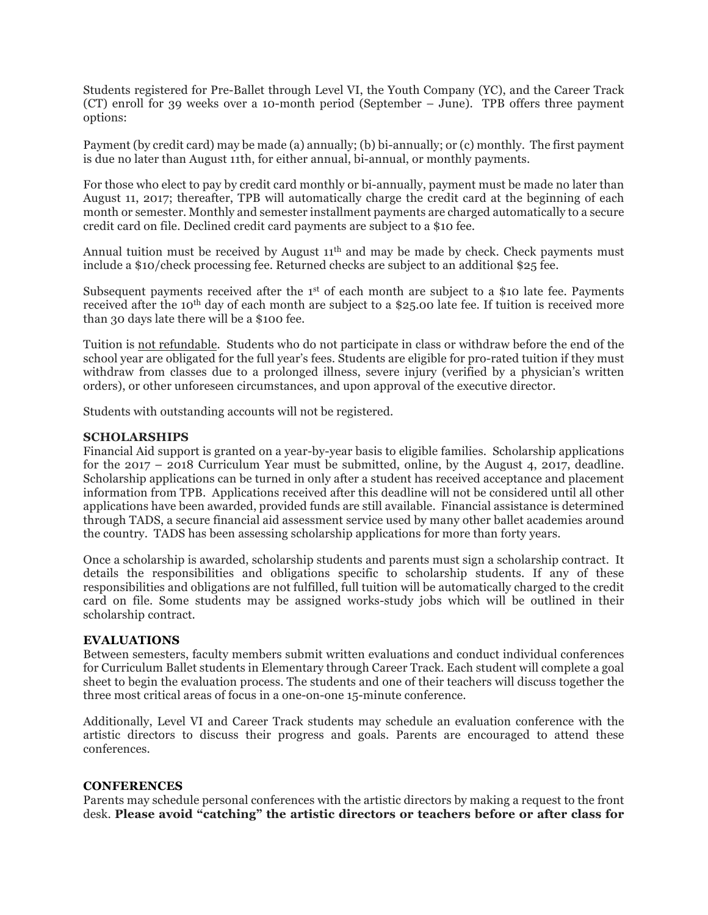Students registered for Pre-Ballet through Level VI, the Youth Company (YC), and the Career Track (CT) enroll for 39 weeks over a 10-month period (September – June). TPB offers three payment options:

Payment (by credit card) may be made (a) annually; (b) bi-annually; or (c) monthly. The first payment is due no later than August 11th, for either annual, bi-annual, or monthly payments.

For those who elect to pay by credit card monthly or bi-annually, payment must be made no later than August 11, 2017; thereafter, TPB will automatically charge the credit card at the beginning of each month or semester. Monthly and semester installment payments are charged automatically to a secure credit card on file. Declined credit card payments are subject to a \$10 fee.

Annual tuition must be received by August  $11<sup>th</sup>$  and may be made by check. Check payments must include a \$10/check processing fee. Returned checks are subject to an additional \$25 fee.

Subsequent payments received after the 1<sup>st</sup> of each month are subject to a \$10 late fee. Payments received after the 10<sup>th</sup> day of each month are subject to a \$25.00 late fee. If tuition is received more than 30 days late there will be a \$100 fee.

Tuition is not refundable. Students who do not participate in class or withdraw before the end of the school year are obligated for the full year's fees. Students are eligible for pro-rated tuition if they must withdraw from classes due to a prolonged illness, severe injury (verified by a physician's written orders), or other unforeseen circumstances, and upon approval of the executive director.

Students with outstanding accounts will not be registered.

#### **SCHOLARSHIPS**

Financial Aid support is granted on a year-by-year basis to eligible families. Scholarship applications for the 2017 – 2018 Curriculum Year must be submitted, online, by the August 4, 2017, deadline. Scholarship applications can be turned in only after a student has received acceptance and placement information from TPB. Applications received after this deadline will not be considered until all other applications have been awarded, provided funds are still available. Financial assistance is determined through TADS, a secure financial aid assessment service used by many other ballet academies around the country. TADS has been assessing scholarship applications for more than forty years.

Once a scholarship is awarded, scholarship students and parents must sign a scholarship contract. It details the responsibilities and obligations specific to scholarship students. If any of these responsibilities and obligations are not fulfilled, full tuition will be automatically charged to the credit card on file. Some students may be assigned works-study jobs which will be outlined in their scholarship contract.

#### **EVALUATIONS**

Between semesters, faculty members submit written evaluations and conduct individual conferences for Curriculum Ballet students in Elementary through Career Track. Each student will complete a goal sheet to begin the evaluation process. The students and one of their teachers will discuss together the three most critical areas of focus in a one-on-one 15-minute conference.

Additionally, Level VI and Career Track students may schedule an evaluation conference with the artistic directors to discuss their progress and goals. Parents are encouraged to attend these conferences.

#### **CONFERENCES**

Parents may schedule personal conferences with the artistic directors by making a request to the front desk. **Please avoid "catching" the artistic directors or teachers before or after class for**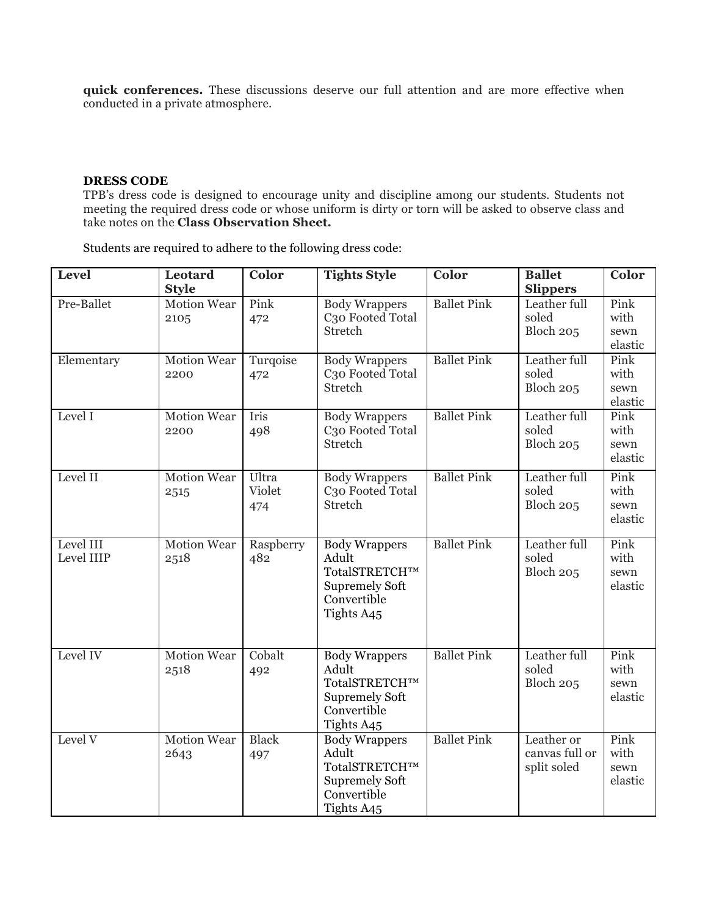**quick conferences.** These discussions deserve our full attention and are more effective when conducted in a private atmosphere.

#### **DRESS CODE**

TPB's dress code is designed to encourage unity and discipline among our students. Students not meeting the required dress code or whose uniform is dirty or torn will be asked to observe class and take notes on the **Class Observation Sheet.**

Students are required to adhere to the following dress code:

| Level                   | Leotard<br><b>Style</b>    | Color                  | <b>Tights Style</b>                                                                                  | Color              | <b>Ballet</b><br><b>Slippers</b>            | Color                           |
|-------------------------|----------------------------|------------------------|------------------------------------------------------------------------------------------------------|--------------------|---------------------------------------------|---------------------------------|
| Pre-Ballet              | <b>Motion Wear</b><br>2105 | Pink<br>472            | <b>Body Wrappers</b><br>C <sub>3</sub> o Footed Total<br><b>Stretch</b>                              | <b>Ballet Pink</b> | Leather full<br>soled<br>Bloch 205          | Pink<br>with<br>sewn<br>elastic |
| Elementary              | <b>Motion Wear</b><br>2200 | Turqoise<br>472        | <b>Body Wrappers</b><br>C <sub>3</sub> o Footed Total<br><b>Stretch</b>                              | <b>Ballet Pink</b> | Leather full<br>soled<br>Bloch 205          | Pink<br>with<br>sewn<br>elastic |
| Level I                 | <b>Motion Wear</b><br>2200 | Iris<br>498            | <b>Body Wrappers</b><br>C <sub>3</sub> o Footed Total<br>Stretch                                     | <b>Ballet Pink</b> | Leather full<br>soled<br>Bloch 205          | Pink<br>with<br>sewn<br>elastic |
| Level II                | <b>Motion Wear</b><br>2515 | Ultra<br>Violet<br>474 | <b>Body Wrappers</b><br>C <sub>3</sub> o Footed Total<br><b>Stretch</b>                              | <b>Ballet Pink</b> | Leather full<br>soled<br>Bloch 205          | Pink<br>with<br>sewn<br>elastic |
| Level III<br>Level IIIP | <b>Motion Wear</b><br>2518 | Raspberry<br>482       | <b>Body Wrappers</b><br>Adult<br>TotalSTRETCH™<br><b>Supremely Soft</b><br>Convertible<br>Tights A45 | <b>Ballet Pink</b> | Leather full<br>soled<br>Bloch 205          | Pink<br>with<br>sewn<br>elastic |
| Level IV                | <b>Motion Wear</b><br>2518 | Cobalt<br>492          | <b>Body Wrappers</b><br>Adult<br>TotalSTRETCH™<br><b>Supremely Soft</b><br>Convertible<br>Tights A45 | <b>Ballet Pink</b> | Leather full<br>soled<br>Bloch 205          | Pink<br>with<br>sewn<br>elastic |
| Level V                 | <b>Motion Wear</b><br>2643 | <b>Black</b><br>497    | <b>Body Wrappers</b><br>Adult<br>TotalSTRETCH™<br><b>Supremely Soft</b><br>Convertible<br>Tights A45 | <b>Ballet Pink</b> | Leather or<br>canvas full or<br>split soled | Pink<br>with<br>sewn<br>elastic |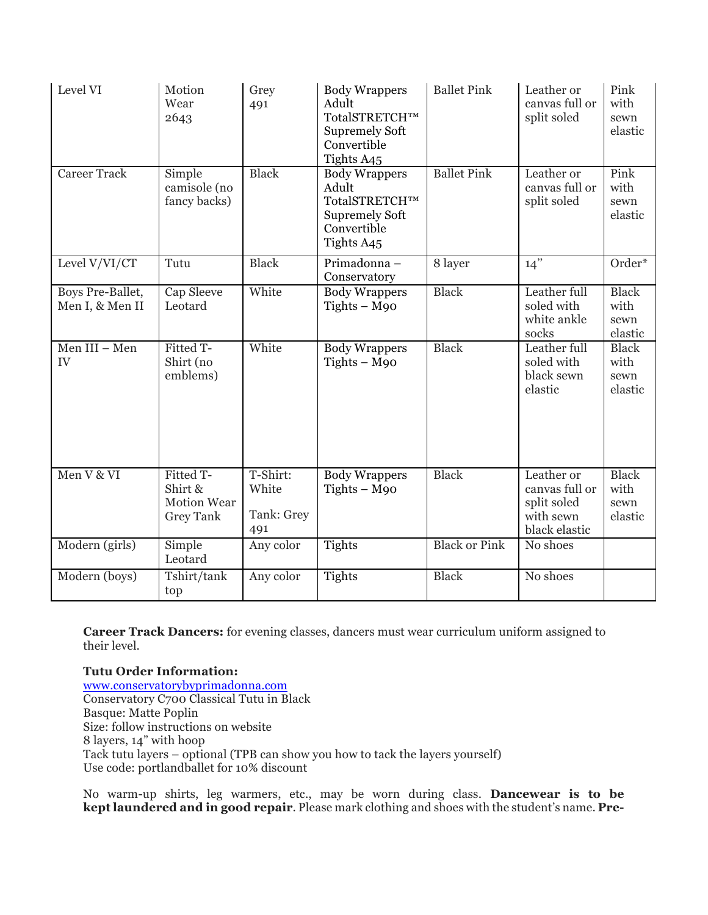| Level VI                            | Motion<br>Wear<br>2643                                  | Grey<br>491                            | <b>Body Wrappers</b><br>Adult<br>TotalSTRETCH™<br><b>Supremely Soft</b><br>Convertible<br>Tights A45 | <b>Ballet Pink</b>   | Leather or<br>canvas full or<br>split soled                               | Pink<br>with<br>sewn<br>elastic         |
|-------------------------------------|---------------------------------------------------------|----------------------------------------|------------------------------------------------------------------------------------------------------|----------------------|---------------------------------------------------------------------------|-----------------------------------------|
| <b>Career Track</b>                 | Simple<br>camisole (no<br>fancy backs)                  | <b>Black</b>                           | <b>Body Wrappers</b><br>Adult<br>TotalSTRETCH™<br><b>Supremely Soft</b><br>Convertible<br>Tights A45 | <b>Ballet Pink</b>   | Leather or<br>canvas full or<br>split soled                               | Pink<br>with<br>sewn<br>elastic         |
| Level V/VI/CT                       | Tutu                                                    | <b>Black</b>                           | Primadonna-<br>Conservatory                                                                          | 8 layer              | $14$ "                                                                    | Order*                                  |
| Boys Pre-Ballet,<br>Men I, & Men II | Cap Sleeve<br>Leotard                                   | White                                  | <b>Body Wrappers</b><br>$Tights - M90$                                                               | Black                | Leather full<br>soled with<br>white ankle<br>socks                        | <b>Black</b><br>with<br>sewn<br>elastic |
| Men III - Men<br>IV                 | Fitted T-<br>Shirt (no<br>emblems)                      | White                                  | <b>Body Wrappers</b><br>$Tights - M90$                                                               | <b>Black</b>         | Leather full<br>soled with<br>black sewn<br>elastic                       | <b>Black</b><br>with<br>sewn<br>elastic |
| Men V & VI                          | Fitted T-<br>Shirt &<br>Motion Wear<br><b>Grey Tank</b> | T-Shirt:<br>White<br>Tank: Grey<br>491 | <b>Body Wrappers</b><br>$Tights - M90$                                                               | <b>Black</b>         | Leather or<br>canvas full or<br>split soled<br>with sewn<br>black elastic | <b>Black</b><br>with<br>sewn<br>elastic |
| Modern (girls)                      | Simple<br>Leotard                                       | Any color                              | Tights                                                                                               | <b>Black or Pink</b> | No shoes                                                                  |                                         |
| Modern (boys)                       | Tshirt/tank<br>top                                      | Any color                              | Tights                                                                                               | <b>Black</b>         | No shoes                                                                  |                                         |

**Career Track Dancers:** for evening classes, dancers must wear curriculum uniform assigned to their level.

**Tutu Order Information:** www.conservatorybyprimadonna.com Conservatory C700 Classical Tutu in Black Basque: Matte Poplin Size: follow instructions on website 8 layers, 14" with hoop Tack tutu layers – optional (TPB can show you how to tack the layers yourself) Use code: portlandballet for 10% discount

No warm-up shirts, leg warmers, etc., may be worn during class. **Dancewear is to be kept laundered and in good repair**. Please mark clothing and shoes with the student's name. **Pre-**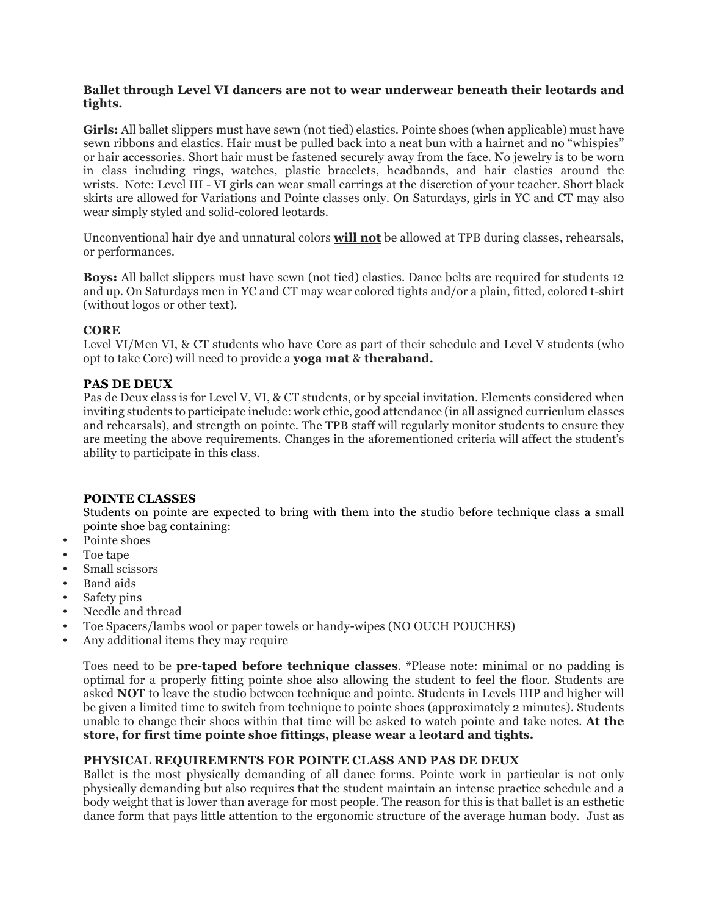# **Ballet through Level VI dancers are not to wear underwear beneath their leotards and tights.**

**Girls:** All ballet slippers must have sewn (not tied) elastics. Pointe shoes (when applicable) must have sewn ribbons and elastics. Hair must be pulled back into a neat bun with a hairnet and no "whispies" or hair accessories. Short hair must be fastened securely away from the face. No jewelry is to be worn in class including rings, watches, plastic bracelets, headbands, and hair elastics around the wrists. Note: Level III - VI girls can wear small earrings at the discretion of your teacher. Short black skirts are allowed for Variations and Pointe classes only. On Saturdays, girls in YC and CT may also wear simply styled and solid-colored leotards.

Unconventional hair dye and unnatural colors **will not** be allowed at TPB during classes, rehearsals, or performances.

**Boys:** All ballet slippers must have sewn (not tied) elastics. Dance belts are required for students 12 and up. On Saturdays men in YC and CT may wear colored tights and/or a plain, fitted, colored t-shirt (without logos or other text).

# **CORE**

Level VI/Men VI, & CT students who have Core as part of their schedule and Level V students (who opt to take Core) will need to provide a **yoga mat** & **theraband.**

# **PAS DE DEUX**

Pas de Deux class is for Level V, VI, & CT students, or by special invitation. Elements considered when inviting students to participate include: work ethic, good attendance (in all assigned curriculum classes and rehearsals), and strength on pointe. The TPB staff will regularly monitor students to ensure they are meeting the above requirements. Changes in the aforementioned criteria will affect the student's ability to participate in this class.

# **POINTE CLASSES**

Students on pointe are expected to bring with them into the studio before technique class a small pointe shoe bag containing:

- Pointe shoes
- Toe tape
- Small scissors
- Band aids
- Safety pins
- Needle and thread
- Toe Spacers/lambs wool or paper towels or handy-wipes (NO OUCH POUCHES)
- Any additional items they may require

Toes need to be **pre-taped before technique classes**. \*Please note: minimal or no padding is optimal for a properly fitting pointe shoe also allowing the student to feel the floor. Students are asked **NOT** to leave the studio between technique and pointe. Students in Levels IIIP and higher will be given a limited time to switch from technique to pointe shoes (approximately 2 minutes). Students unable to change their shoes within that time will be asked to watch pointe and take notes. **At the store, for first time pointe shoe fittings, please wear a leotard and tights.**

# **PHYSICAL REQUIREMENTS FOR POINTE CLASS AND PAS DE DEUX**

Ballet is the most physically demanding of all dance forms. Pointe work in particular is not only physically demanding but also requires that the student maintain an intense practice schedule and a body weight that is lower than average for most people. The reason for this is that ballet is an esthetic dance form that pays little attention to the ergonomic structure of the average human body. Just as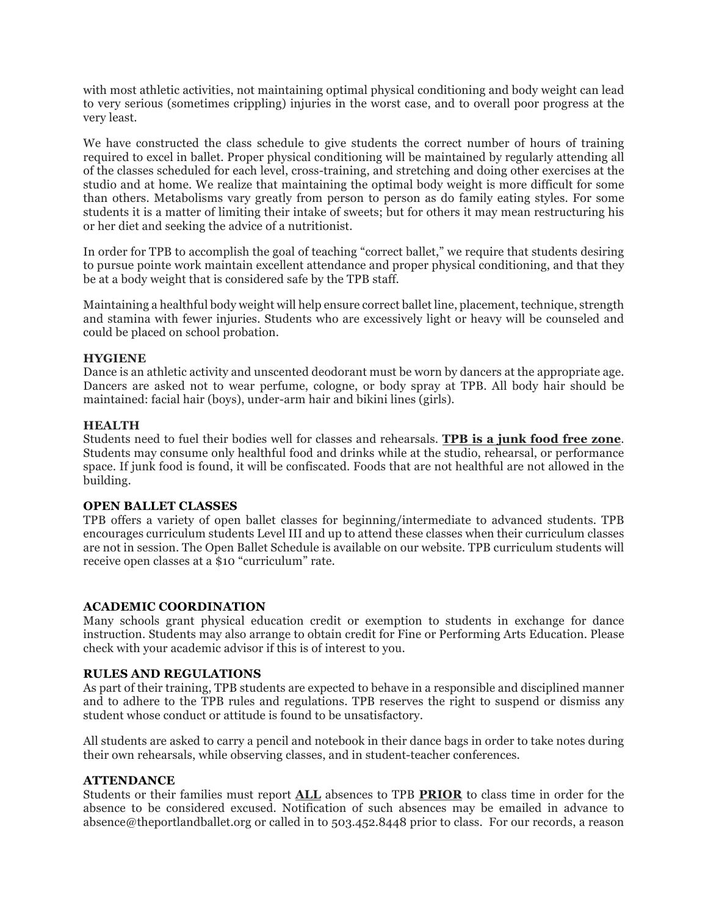with most athletic activities, not maintaining optimal physical conditioning and body weight can lead to very serious (sometimes crippling) injuries in the worst case, and to overall poor progress at the very least.

We have constructed the class schedule to give students the correct number of hours of training required to excel in ballet. Proper physical conditioning will be maintained by regularly attending all of the classes scheduled for each level, cross-training, and stretching and doing other exercises at the studio and at home. We realize that maintaining the optimal body weight is more difficult for some than others. Metabolisms vary greatly from person to person as do family eating styles. For some students it is a matter of limiting their intake of sweets; but for others it may mean restructuring his or her diet and seeking the advice of a nutritionist.

In order for TPB to accomplish the goal of teaching "correct ballet," we require that students desiring to pursue pointe work maintain excellent attendance and proper physical conditioning, and that they be at a body weight that is considered safe by the TPB staff.

Maintaining a healthful body weight will help ensure correct ballet line, placement, technique, strength and stamina with fewer injuries. Students who are excessively light or heavy will be counseled and could be placed on school probation.

# **HYGIENE**

Dance is an athletic activity and unscented deodorant must be worn by dancers at the appropriate age. Dancers are asked not to wear perfume, cologne, or body spray at TPB. All body hair should be maintained: facial hair (boys), under-arm hair and bikini lines (girls).

# **HEALTH**

Students need to fuel their bodies well for classes and rehearsals. **TPB is a junk food free zone**. Students may consume only healthful food and drinks while at the studio, rehearsal, or performance space. If junk food is found, it will be confiscated. Foods that are not healthful are not allowed in the building.

#### **OPEN BALLET CLASSES**

TPB offers a variety of open ballet classes for beginning/intermediate to advanced students. TPB encourages curriculum students Level III and up to attend these classes when their curriculum classes are not in session. The Open Ballet Schedule is available on our website. TPB curriculum students will receive open classes at a \$10 "curriculum" rate.

# **ACADEMIC COORDINATION**

Many schools grant physical education credit or exemption to students in exchange for dance instruction. Students may also arrange to obtain credit for Fine or Performing Arts Education. Please check with your academic advisor if this is of interest to you.

# **RULES AND REGULATIONS**

As part of their training, TPB students are expected to behave in a responsible and disciplined manner and to adhere to the TPB rules and regulations. TPB reserves the right to suspend or dismiss any student whose conduct or attitude is found to be unsatisfactory.

All students are asked to carry a pencil and notebook in their dance bags in order to take notes during their own rehearsals, while observing classes, and in student-teacher conferences.

# **ATTENDANCE**

Students or their families must report **ALL** absences to TPB **PRIOR** to class time in order for the absence to be considered excused. Notification of such absences may be emailed in advance to absence@theportlandballet.org or called in to 503.452.8448 prior to class. For our records, a reason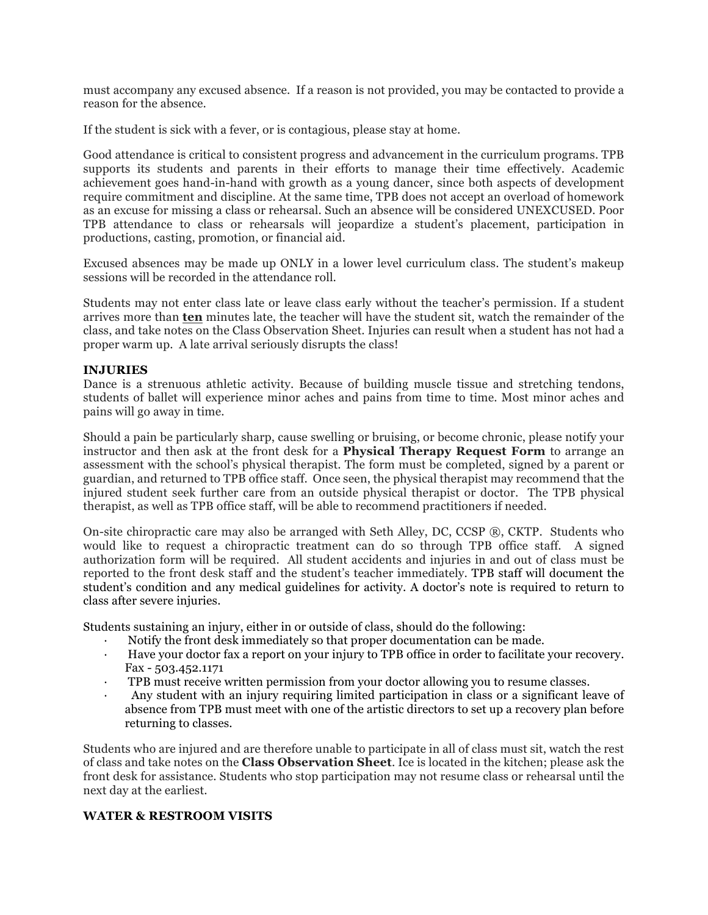must accompany any excused absence. If a reason is not provided, you may be contacted to provide a reason for the absence.

If the student is sick with a fever, or is contagious, please stay at home.

Good attendance is critical to consistent progress and advancement in the curriculum programs. TPB supports its students and parents in their efforts to manage their time effectively. Academic achievement goes hand-in-hand with growth as a young dancer, since both aspects of development require commitment and discipline. At the same time, TPB does not accept an overload of homework as an excuse for missing a class or rehearsal. Such an absence will be considered UNEXCUSED. Poor TPB attendance to class or rehearsals will jeopardize a student's placement, participation in productions, casting, promotion, or financial aid.

Excused absences may be made up ONLY in a lower level curriculum class. The student's makeup sessions will be recorded in the attendance roll.

Students may not enter class late or leave class early without the teacher's permission. If a student arrives more than **ten** minutes late, the teacher will have the student sit, watch the remainder of the class, and take notes on the Class Observation Sheet. Injuries can result when a student has not had a proper warm up. A late arrival seriously disrupts the class!

#### **INJURIES**

Dance is a strenuous athletic activity. Because of building muscle tissue and stretching tendons, students of ballet will experience minor aches and pains from time to time. Most minor aches and pains will go away in time.

Should a pain be particularly sharp, cause swelling or bruising, or become chronic, please notify your instructor and then ask at the front desk for a **Physical Therapy Request Form** to arrange an assessment with the school's physical therapist. The form must be completed, signed by a parent or guardian, and returned to TPB office staff. Once seen, the physical therapist may recommend that the injured student seek further care from an outside physical therapist or doctor. The TPB physical therapist, as well as TPB office staff, will be able to recommend practitioners if needed.

On-site chiropractic care may also be arranged with Seth Alley, DC, CCSP ®, CKTP. Students who would like to request a chiropractic treatment can do so through TPB office staff. A signed authorization form will be required. All student accidents and injuries in and out of class must be reported to the front desk staff and the student's teacher immediately. TPB staff will document the student's condition and any medical guidelines for activity. A doctor's note is required to return to class after severe injuries.

Students sustaining an injury, either in or outside of class, should do the following:

- · Notify the front desk immediately so that proper documentation can be made.
- Have your doctor fax a report on your injury to TPB office in order to facilitate your recovery. Fax - 503.452.1171
- TPB must receive written permission from your doctor allowing you to resume classes.
- · Any student with an injury requiring limited participation in class or a significant leave of absence from TPB must meet with one of the artistic directors to set up a recovery plan before returning to classes.

Students who are injured and are therefore unable to participate in all of class must sit, watch the rest of class and take notes on the **Class Observation Sheet**. Ice is located in the kitchen; please ask the front desk for assistance. Students who stop participation may not resume class or rehearsal until the next day at the earliest.

# **WATER & RESTROOM VISITS**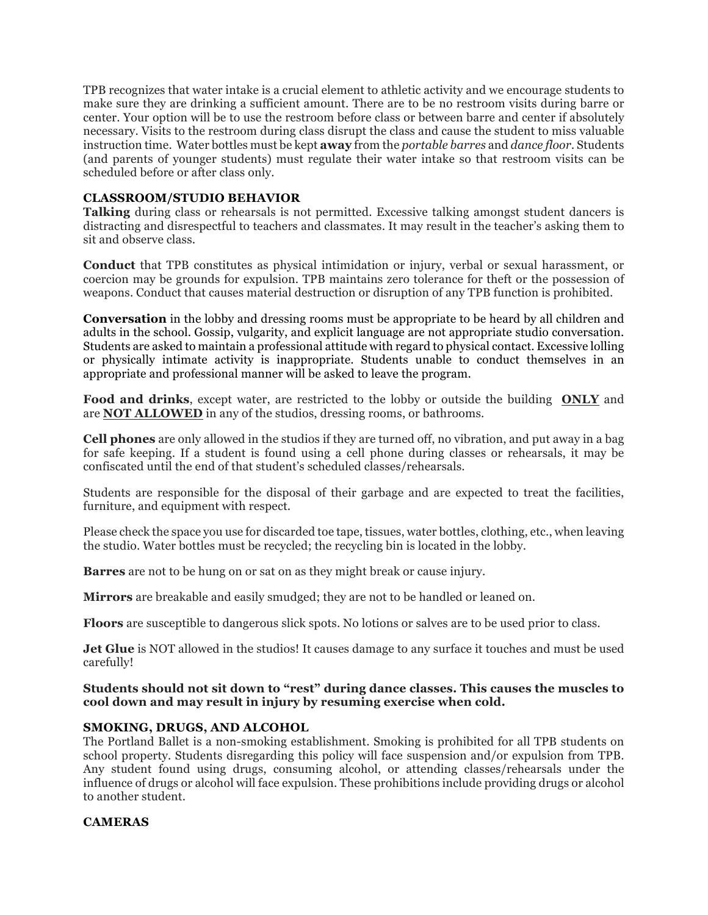TPB recognizes that water intake is a crucial element to athletic activity and we encourage students to make sure they are drinking a sufficient amount. There are to be no restroom visits during barre or center. Your option will be to use the restroom before class or between barre and center if absolutely necessary. Visits to the restroom during class disrupt the class and cause the student to miss valuable instruction time. Water bottles must be kept **away** from the *portable barres* and *dance floor.* Students (and parents of younger students) must regulate their water intake so that restroom visits can be scheduled before or after class only.

# **CLASSROOM/STUDIO BEHAVIOR**

**Talking** during class or rehearsals is not permitted. Excessive talking amongst student dancers is distracting and disrespectful to teachers and classmates. It may result in the teacher's asking them to sit and observe class.

**Conduct** that TPB constitutes as physical intimidation or injury, verbal or sexual harassment, or coercion may be grounds for expulsion. TPB maintains zero tolerance for theft or the possession of weapons. Conduct that causes material destruction or disruption of any TPB function is prohibited.

**Conversation** in the lobby and dressing rooms must be appropriate to be heard by all children and adults in the school. Gossip, vulgarity, and explicit language are not appropriate studio conversation. Students are asked to maintain a professional attitude with regard to physical contact. Excessive lolling or physically intimate activity is inappropriate. Students unable to conduct themselves in an appropriate and professional manner will be asked to leave the program.

**Food and drinks**, except water, are restricted to the lobby or outside the building **ONLY** and are **NOT ALLOWED** in any of the studios, dressing rooms, or bathrooms.

**Cell phones** are only allowed in the studios if they are turned off, no vibration, and put away in a bag for safe keeping. If a student is found using a cell phone during classes or rehearsals, it may be confiscated until the end of that student's scheduled classes/rehearsals.

Students are responsible for the disposal of their garbage and are expected to treat the facilities, furniture, and equipment with respect.

Please check the space you use for discarded toe tape, tissues, water bottles, clothing, etc., when leaving the studio. Water bottles must be recycled; the recycling bin is located in the lobby.

**Barres** are not to be hung on or sat on as they might break or cause injury.

**Mirrors** are breakable and easily smudged; they are not to be handled or leaned on.

**Floors** are susceptible to dangerous slick spots. No lotions or salves are to be used prior to class.

**Jet Glue** is NOT allowed in the studios! It causes damage to any surface it touches and must be used carefully!

# **Students should not sit down to "rest" during dance classes. This causes the muscles to cool down and may result in injury by resuming exercise when cold.**

# **SMOKING, DRUGS, AND ALCOHOL**

The Portland Ballet is a non-smoking establishment. Smoking is prohibited for all TPB students on school property. Students disregarding this policy will face suspension and/or expulsion from TPB. Any student found using drugs, consuming alcohol, or attending classes/rehearsals under the influence of drugs or alcohol will face expulsion. These prohibitions include providing drugs or alcohol to another student.

# **CAMERAS**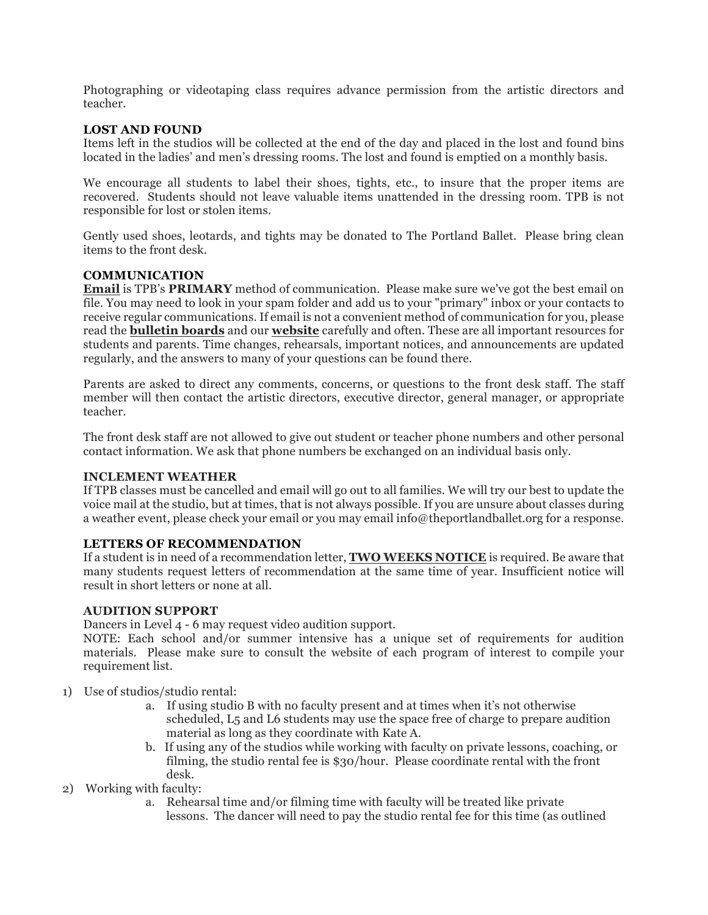Photographing or videotaping class requires advance permission from the artistic directors and teacher.

# **LOST AND FOUND**

Items left in the studios will be collected at the end of the day and placed in the lost and found bins located in the ladies' and men's dressing rooms. The lost and found is emptied on a monthly basis.

We encourage all students to label their shoes, tights, etc., to insure that the proper items are recovered. Students should not leave valuable items unattended in the dressing room. TPB is not responsible for lost or stolen items.

Gently used shoes, leotards, and tights may be donated to The Portland Ballet. Please bring clean items to the front desk.

# **COMMUNICATION**

**Email** is TPB's **PRIMARY** method of communication. Please make sure we've got the best email on file. You may need to look in your spam folder and add us to your "primary" inbox or your contacts to receive regular communications. If email is not a convenient method of communication for you, please read the **bulletin boards** and our **website** carefully and often. These are all important resources for students and parents. Time changes, rehearsals, important notices, and announcements are updated regularly, and the answers to many of your questions can be found there.

Parents are asked to direct any comments, concerns, or questions to the front desk staff. The staff member will then contact the artistic directors, executive director, general manager, or appropriate teacher.

The front desk staff are not allowed to give out student or teacher phone numbers and other personal contact information. We ask that phone numbers be exchanged on an individual basis only.

# **INCLEMENT WEATHER**

If TPB classes must be cancelled and email will go out to all families. We will try our best to update the voice mail at the studio, but at times, that is not always possible. If you are unsure about classes during a weather event, please check your email or you may email info@theportlandballet.org for a response.

# **LETTERS OF RECOMMENDATION**

If a student is in need of a recommendation letter, **TWO WEEKS NOTICE** is required. Be aware that many students request letters of recommendation at the same time of year. Insufficient notice will result in short letters or none at all.

# **AUDITION SUPPORT**

Dancers in Level 4 - 6 may request video audition support.

NOTE: Each school and/or summer intensive has a unique set of requirements for audition materials. Please make sure to consult the website of each program of interest to compile your requirement list.

- 1) Use of studios/studio rental:
	- a. If using studio B with no faculty present and at times when it's not otherwise scheduled, L5 and L6 students may use the space free of charge to prepare audition material as long as they coordinate with Kate A.
	- b. If using any of the studios while working with faculty on private lessons, coaching, or filming, the studio rental fee is \$30/hour. Please coordinate rental with the front desk.
- 2) Working with faculty:
	- a. Rehearsal time and/or filming time with faculty will be treated like private lessons. The dancer will need to pay the studio rental fee for this time (as outlined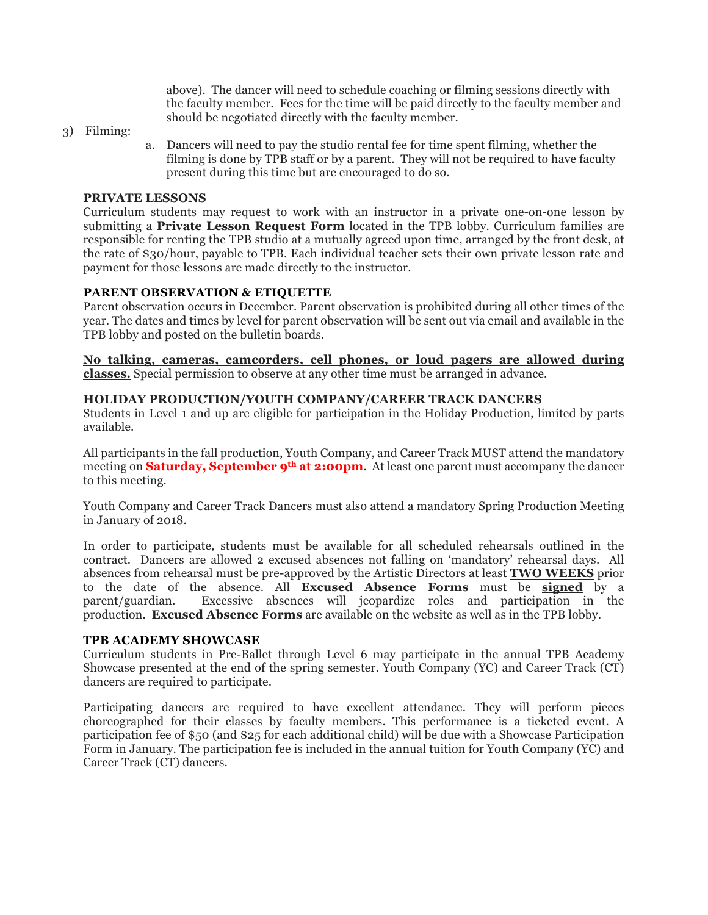above). The dancer will need to schedule coaching or filming sessions directly with the faculty member. Fees for the time will be paid directly to the faculty member and should be negotiated directly with the faculty member.

- 3) Filming:
- a. Dancers will need to pay the studio rental fee for time spent filming, whether the filming is done by TPB staff or by a parent. They will not be required to have faculty present during this time but are encouraged to do so.

#### **PRIVATE LESSONS**

Curriculum students may request to work with an instructor in a private one-on-one lesson by submitting a **Private Lesson Request Form** located in the TPB lobby. Curriculum families are responsible for renting the TPB studio at a mutually agreed upon time, arranged by the front desk, at the rate of \$30/hour, payable to TPB. Each individual teacher sets their own private lesson rate and payment for those lessons are made directly to the instructor.

# **PARENT OBSERVATION & ETIQUETTE**

Parent observation occurs in December. Parent observation is prohibited during all other times of the year. The dates and times by level for parent observation will be sent out via email and available in the TPB lobby and posted on the bulletin boards.

**No talking, cameras, camcorders, cell phones, or loud pagers are allowed during classes.** Special permission to observe at any other time must be arranged in advance.

# **HOLIDAY PRODUCTION/YOUTH COMPANY/CAREER TRACK DANCERS**

Students in Level 1 and up are eligible for participation in the Holiday Production, limited by parts available.

All participants in the fall production, Youth Company, and Career Track MUST attend the mandatory meeting on **Saturday, September 9th at 2:00pm**. At least one parent must accompany the dancer to this meeting.

Youth Company and Career Track Dancers must also attend a mandatory Spring Production Meeting in January of 2018.

In order to participate, students must be available for all scheduled rehearsals outlined in the contract. Dancers are allowed 2 excused absences not falling on 'mandatory' rehearsal days. All absences from rehearsal must be pre-approved by the Artistic Directors at least **TWO WEEKS** prior to the date of the absence. All **Excused Absence Forms** must be **signed** by a parent/guardian. Excessive absences will jeopardize roles and participation in the production. **Excused Absence Forms** are available on the website as well as in the TPB lobby.

#### **TPB ACADEMY SHOWCASE**

Curriculum students in Pre-Ballet through Level 6 may participate in the annual TPB Academy Showcase presented at the end of the spring semester. Youth Company (YC) and Career Track (CT) dancers are required to participate.

Participating dancers are required to have excellent attendance. They will perform pieces choreographed for their classes by faculty members. This performance is a ticketed event. A participation fee of \$50 (and \$25 for each additional child) will be due with a Showcase Participation Form in January. The participation fee is included in the annual tuition for Youth Company (YC) and Career Track (CT) dancers.